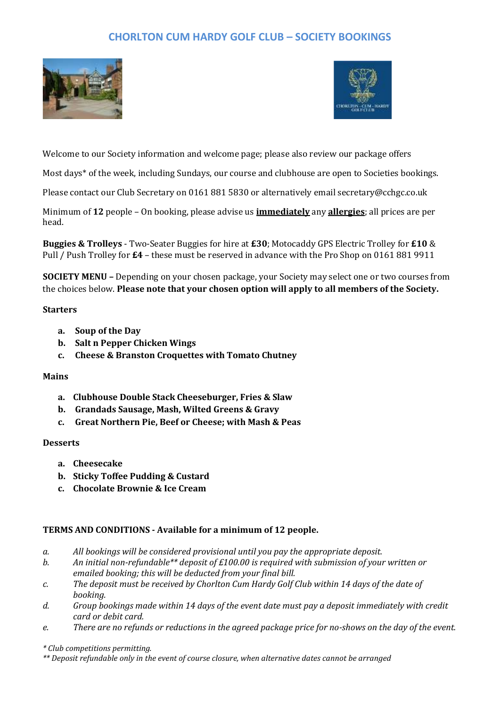# **CHORLTON CUM HARDY GOLF CLUB – SOCIETY BOOKINGS**





Welcome to our Society information and welcome page; please also review our package offers

Most days\* of the week, including Sundays, our course and clubhouse are open to Societies bookings.

Please contact our Club Secretary on 0161 881 5830 or alternatively email secretary@cchgc.co.uk

Minimum of **12** people – On booking, please advise us **immediately** any **allergies**; all prices are per head.

**Buggies & Trolleys** - Two-Seater Buggies for hire at **£30**; Motocaddy GPS Electric Trolley for **£10** & Pull / Push Trolley for **£4** – these must be reserved in advance with the Pro Shop on 0161 881 9911

**SOCIETY MENU –** Depending on your chosen package, your Society may select one or two courses from the choices below. **Please note that your chosen option will apply to all members of the Society.**

### **Starters**

- **a. Soup of the Day**
- **b. Salt n Pepper Chicken Wings**
- **c. Cheese & Branston Croquettes with Tomato Chutney**

## **Mains**

- **a. Clubhouse Double Stack Cheeseburger, Fries & Slaw**
- **b. Grandads Sausage, Mash, Wilted Greens & Gravy**
- **c. Great Northern Pie, Beef or Cheese; with Mash & Peas**

#### **Desserts**

- **a. Cheesecake**
- **b. Sticky Toffee Pudding & Custard**
- **c. Chocolate Brownie & Ice Cream**

## **TERMS AND CONDITIONS - Available for a minimum of 12 people.**

- *a. All bookings will be considered provisional until you pay the appropriate deposit.*
- *b. An initial non-refundable\*\* deposit of £100.00 is required with submission of your written or emailed booking; this will be deducted from your final bill.*
- *c. The deposit must be received by Chorlton Cum Hardy Golf Club within 14 days of the date of booking.*
- *d. Group bookings made within 14 days of the event date must pay a deposit immediately with credit card or debit card.*
- *e. There are no refunds or reductions in the agreed package price for no-shows on the day of the event.*

#### *\* Club competitions permitting.*

*\*\* Deposit refundable only in the event of course closure, when alternative dates cannot be arranged*